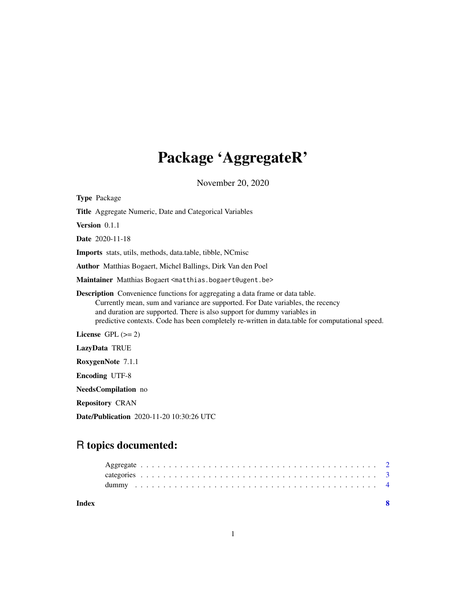## Package 'AggregateR'

November 20, 2020

| <b>Type Package</b>                                                                                                                                                                                                                                                                                                                                    |
|--------------------------------------------------------------------------------------------------------------------------------------------------------------------------------------------------------------------------------------------------------------------------------------------------------------------------------------------------------|
| <b>Title</b> Aggregate Numeric, Date and Categorical Variables                                                                                                                                                                                                                                                                                         |
| <b>Version</b> $0.1.1$                                                                                                                                                                                                                                                                                                                                 |
| <b>Date</b> 2020-11-18                                                                                                                                                                                                                                                                                                                                 |
| <b>Imports</b> stats, utils, methods, data.table, tibble, NCmisc                                                                                                                                                                                                                                                                                       |
| Author Matthias Bogaert, Michel Ballings, Dirk Van den Poel                                                                                                                                                                                                                                                                                            |
| Maintainer Matthias Bogaert <matthias.bogaert@ugent.be></matthias.bogaert@ugent.be>                                                                                                                                                                                                                                                                    |
| <b>Description</b> Convenience functions for aggregating a data frame or data table.<br>Currently mean, sum and variance are supported. For Date variables, the recency<br>and duration are supported. There is also support for dummy variables in<br>predictive contexts. Code has been completely re-written in data.table for computational speed. |
| License $GPL (= 2)$                                                                                                                                                                                                                                                                                                                                    |
| LazyData TRUE                                                                                                                                                                                                                                                                                                                                          |
| RoxygenNote 7.1.1                                                                                                                                                                                                                                                                                                                                      |
| <b>Encoding UTF-8</b>                                                                                                                                                                                                                                                                                                                                  |
| <b>NeedsCompilation</b> no                                                                                                                                                                                                                                                                                                                             |
| <b>Repository CRAN</b>                                                                                                                                                                                                                                                                                                                                 |

Date/Publication 2020-11-20 10:30:26 UTC

### R topics documented:

| Index |  |  |  |  |  |  |  |  |  |  |  |  |  |  |  |  |  |  |  |  |  |  |
|-------|--|--|--|--|--|--|--|--|--|--|--|--|--|--|--|--|--|--|--|--|--|--|
|       |  |  |  |  |  |  |  |  |  |  |  |  |  |  |  |  |  |  |  |  |  |  |
|       |  |  |  |  |  |  |  |  |  |  |  |  |  |  |  |  |  |  |  |  |  |  |
|       |  |  |  |  |  |  |  |  |  |  |  |  |  |  |  |  |  |  |  |  |  |  |

1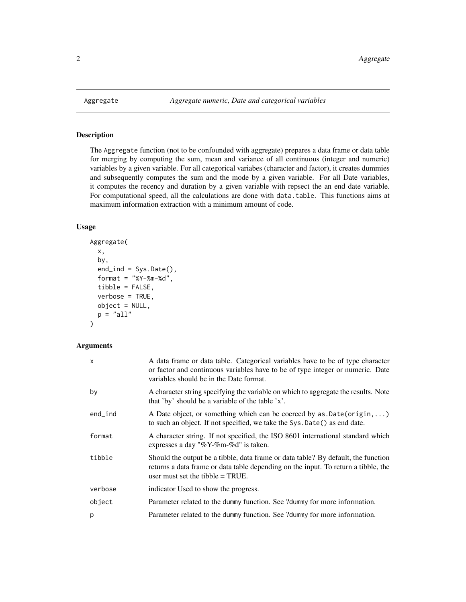#### Description

The Aggregate function (not to be confounded with aggregate) prepares a data frame or data table for merging by computing the sum, mean and variance of all continuous (integer and numeric) variables by a given variable. For all categorical variabes (character and factor), it creates dummies and subsequently computes the sum and the mode by a given variable. For all Date variables, it computes the recency and duration by a given variable with repsect the an end date variable. For computational speed, all the calculations are done with data.table. This functions aims at maximum information extraction with a minimum amount of code.

#### Usage

```
Aggregate(
  x,
  by,
  end_ind = Sys.Date(),
  format = "XY-Xm-Xd",
  tibble = FALSE,
  verbose = TRUE,
  object = NULL,
  p = "all"\mathcal{L}
```
#### Arguments

| $\mathsf{x}$ | A data frame or data table. Categorical variables have to be of type character<br>or factor and continuous variables have to be of type integer or numeric. Date<br>variables should be in the Date format.    |
|--------------|----------------------------------------------------------------------------------------------------------------------------------------------------------------------------------------------------------------|
| by           | A character string specifying the variable on which to aggregate the results. Note<br>that 'by' should be a variable of the table 'x'.                                                                         |
| $end$ ind    | A Date object, or something which can be coerced by as $Date(origin, \ldots)$<br>to such an object. If not specified, we take the Sys. Date () as end date.                                                    |
| format       | A character string. If not specified, the ISO 8601 international standard which<br>expresses a day "% $Y$ -%m-%d" is taken.                                                                                    |
| tibble       | Should the output be a tibble, data frame or data table? By default, the function<br>returns a data frame or data table depending on the input. To return a tibble, the<br>user must set the tibble $= TRUE$ . |
| verbose      | indicator Used to show the progress.                                                                                                                                                                           |
| object       | Parameter related to the dummy function. See ?dummy for more information.                                                                                                                                      |
| p            | Parameter related to the dummy function. See ?dummy for more information.                                                                                                                                      |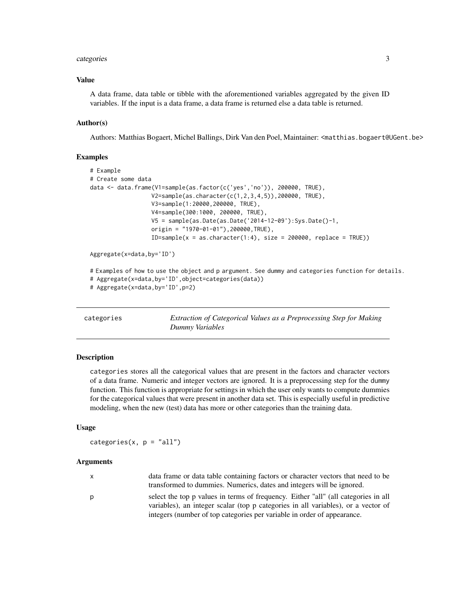#### <span id="page-2-0"></span>categories 3

#### Value

A data frame, data table or tibble with the aforementioned variables aggregated by the given ID variables. If the input is a data frame, a data frame is returned else a data table is returned.

#### Author(s)

Authors: Matthias Bogaert, Michel Ballings, Dirk Van den Poel, Maintainer: <matthias.bogaert@UGent.be>

#### Examples

```
# Example
# Create some data
data <- data.frame(V1=sample(as.factor(c('yes','no')), 200000, TRUE),
                  V2=sample(as.character(c(1,2,3,4,5)),200000, TRUE),
                  V3=sample(1:20000,200000, TRUE),
                  V4=sample(300:1000, 200000, TRUE),
                  V5 = sample(as.Date(as.Date('2014-12-09'):Sys.Date()-1,
                  origin = "1970-01-01"),200000,TRUE),
                  ID=sample(x = as.charAter(1:4), size = 200000, replace = TRUE))Aggregate(x=data,by='ID')
# Examples of how to use the object and p argument. See dummy and categories function for details.
# Aggregate(x=data,by='ID',object=categories(data))
# Aggregate(x=data,by='ID',p=2)
```
<span id="page-2-1"></span>categories *Extraction of Categorical Values as a Preprocessing Step for Making Dummy Variables*

#### **Description**

categories stores all the categorical values that are present in the factors and character vectors of a data frame. Numeric and integer vectors are ignored. It is a preprocessing step for the dummy function. This function is appropriate for settings in which the user only wants to compute dummies for the categorical values that were present in another data set. This is especially useful in predictive modeling, when the new (test) data has more or other categories than the training data.

#### Usage

categories( $x, p = "all")$ 

#### Arguments

| X | data frame or data table containing factors or character vectors that need to be   |
|---|------------------------------------------------------------------------------------|
|   | transformed to dummies. Numerics, dates and integers will be ignored.              |
| D | select the top p values in terms of frequency. Either "all" (all categories in all |
|   | variables), an integer scalar (top p categories in all variables), or a vector of  |

integers (number of top categories per variable in order of appearance.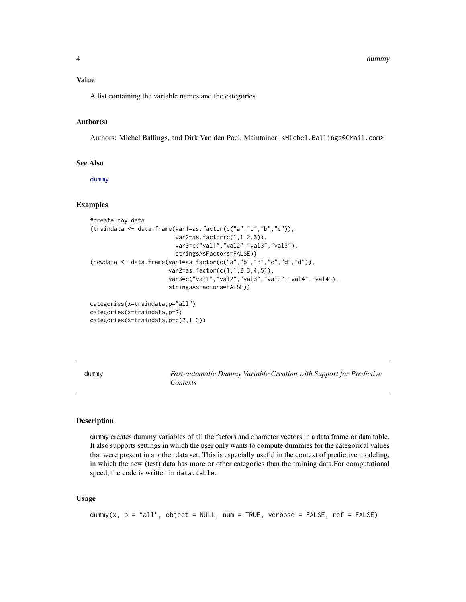#### <span id="page-3-0"></span>Value

A list containing the variable names and the categories

#### Author(s)

Authors: Michel Ballings, and Dirk Van den Poel, Maintainer: <Michel.Ballings@GMail.com>

#### See Also

[dummy](#page-3-1)

#### Examples

```
#create toy data
(traindata <- data.frame(var1=as.factor(c("a","b","b","c")),
                         var2=as.factor(c(1,1,2,3)),
                         var3=c("val1","val2","val3","val3"),
                         stringsAsFactors=FALSE))
(newdata <- data.frame(var1=as.factor(c("a","b","b","c","d","d")),
                       var2=as.factor(c(1,1,2,3,4,5)),
                       var3=c("val1","val2","val3","val3","val4","val4"),
                       stringsAsFactors=FALSE))
categories(x=traindata,p="all")
categories(x=traindata,p=2)
```
categories(x=traindata,p=c(2,1,3))

<span id="page-3-1"></span>dummy *Fast-automatic Dummy Variable Creation with Support for Predictive Contexts*

#### Description

dummy creates dummy variables of all the factors and character vectors in a data frame or data table. It also supports settings in which the user only wants to compute dummies for the categorical values that were present in another data set. This is especially useful in the context of predictive modeling, in which the new (test) data has more or other categories than the training data.For computational speed, the code is written in data.table.

#### Usage

```
dummy(x, p = "all", object = NULL, num = TRUE, verbose = FALSE, ref = FALSE)
```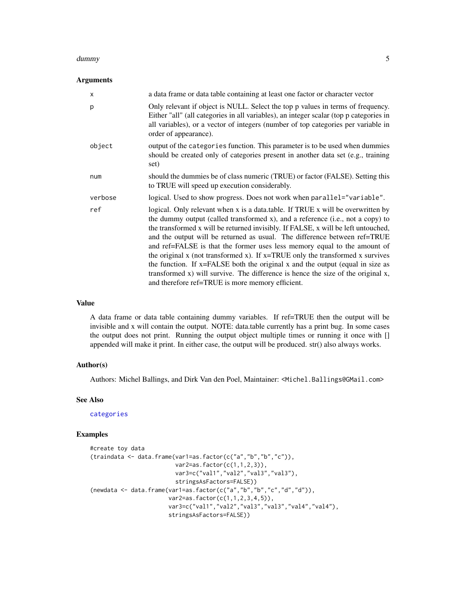#### <span id="page-4-0"></span>dummy that is a state of the contract of the contract of the contract of the contract of the contract of the contract of the contract of the contract of the contract of the contract of the contract of the contract of the c

#### Arguments

| $\times$ | a data frame or data table containing at least one factor or character vector                                                                                                                                                                                                                                                                                                                                                                                                                                                                                                                                                                                                                                                        |
|----------|--------------------------------------------------------------------------------------------------------------------------------------------------------------------------------------------------------------------------------------------------------------------------------------------------------------------------------------------------------------------------------------------------------------------------------------------------------------------------------------------------------------------------------------------------------------------------------------------------------------------------------------------------------------------------------------------------------------------------------------|
| p        | Only relevant if object is NULL. Select the top p values in terms of frequency.<br>Either "all" (all categories in all variables), an integer scalar (top p categories in<br>all variables), or a vector of integers (number of top categories per variable in<br>order of appearance).                                                                                                                                                                                                                                                                                                                                                                                                                                              |
| object   | output of the categories function. This parameter is to be used when dummies<br>should be created only of categories present in another data set (e.g., training<br>set)                                                                                                                                                                                                                                                                                                                                                                                                                                                                                                                                                             |
| num      | should the dummies be of class numeric (TRUE) or factor (FALSE). Setting this<br>to TRUE will speed up execution considerably.                                                                                                                                                                                                                                                                                                                                                                                                                                                                                                                                                                                                       |
| verbose  | logical. Used to show progress. Does not work when parallel="variable".                                                                                                                                                                                                                                                                                                                                                                                                                                                                                                                                                                                                                                                              |
| ref      | logical. Only relevant when x is a data.table. If TRUE x will be overwritten by<br>the dummy output (called transformed x), and a reference (i.e., not a copy) to<br>the transformed x will be returned invisibly. If FALSE, x will be left untouched,<br>and the output will be returned as usual. The difference between ref=TRUE<br>and ref=FALSE is that the former uses less memory equal to the amount of<br>the original $x$ (not transformed $x$ ). If $x = TRUE$ only the transformed $x$ survives<br>the function. If x=FALSE both the original x and the output (equal in size as<br>transformed x) will survive. The difference is hence the size of the original x,<br>and therefore ref=TRUE is more memory efficient. |

#### Value

A data frame or data table containing dummy variables. If ref=TRUE then the output will be invisible and x will contain the output. NOTE: data.table currently has a print bug. In some cases the output does not print. Running the output object multiple times or running it once with [] appended will make it print. In either case, the output will be produced. str() also always works.

#### Author(s)

Authors: Michel Ballings, and Dirk Van den Poel, Maintainer: <Michel.Ballings@GMail.com>

#### See Also

[categories](#page-2-1)

#### Examples

```
#create toy data
(traindata <- data.frame(var1=as.factor(c("a","b","b","c")),
                         var2=as.factor(c(1,1,2,3)),
                         var3=c("val1","val2","val3","val3"),
                         stringsAsFactors=FALSE))
(newdata < - data.frame(var1 = as.factor(c("a", "b", "b", "c", "d", "d")),
                       var2 = as.factor(c(1,1,2,3,4,5)),var3=c("val1","val2","val3","val3","val4","val4"),
                       stringsAsFactors=FALSE))
```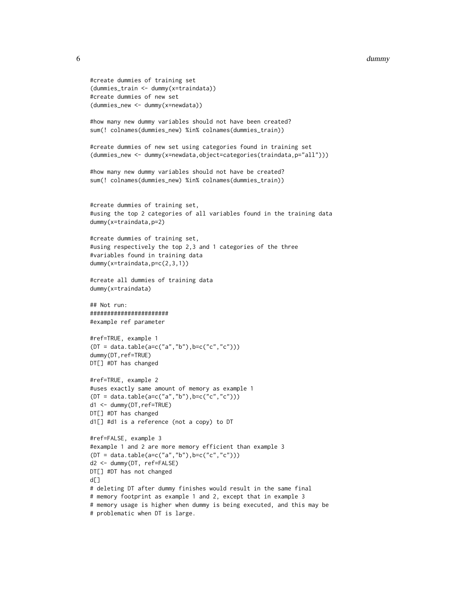#### 6 dummy

```
#create dummies of training set
(dummies_train <- dummy(x=traindata))
#create dummies of new set
(dummies_new <- dummy(x=newdata))
#how many new dummy variables should not have been created?
sum(! colnames(dummies_new) %in% colnames(dummies_train))
#create dummies of new set using categories found in training set
(dummies_new <- dummy(x=newdata,object=categories(traindata,p="all")))
#how many new dummy variables should not have be created?
sum(! colnames(dummies_new) %in% colnames(dummies_train))
#create dummies of training set,
#using the top 2 categories of all variables found in the training data
dummy(x=traindata,p=2)
#create dummies of training set,
#using respectively the top 2,3 and 1 categories of the three
#variables found in training data
dummy(x=traindata,p=c(2,3,1))
#create all dummies of training data
dummy(x=traindata)
## Not run:
#######################
#example ref parameter
#ref=TRUE, example 1
(DT = data.table(a=c("a","b"),b=c("c","c")))
dummy(DT,ref=TRUE)
DT[] #DT has changed
#ref=TRUE, example 2
#uses exactly same amount of memory as example 1
(DT = data.table(a=c("a","b"),b=c("c","c")))
d1 <- dummy(DT,ref=TRUE)
DT[] #DT has changed
d1[] #d1 is a reference (not a copy) to DT
#ref=FALSE, example 3
#example 1 and 2 are more memory efficient than example 3
(DT = data.table(a=c("a", "b"), b=c("c", "c"))d2 <- dummy(DT, ref=FALSE)
DT[] #DT has not changed
d[]
# deleting DT after dummy finishes would result in the same final
# memory footprint as example 1 and 2, except that in example 3
# memory usage is higher when dummy is being executed, and this may be
# problematic when DT is large.
```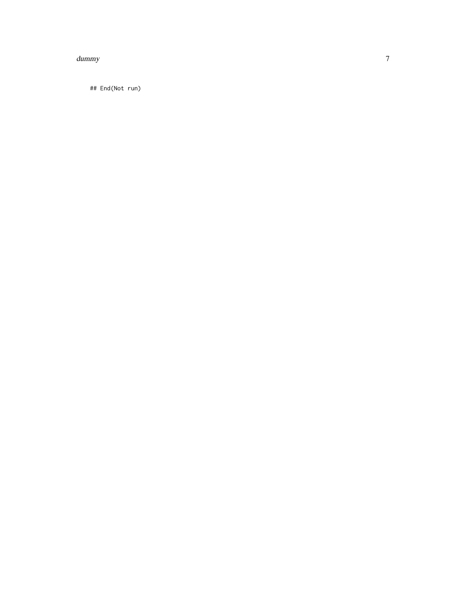#### dummy

## End(Not run)